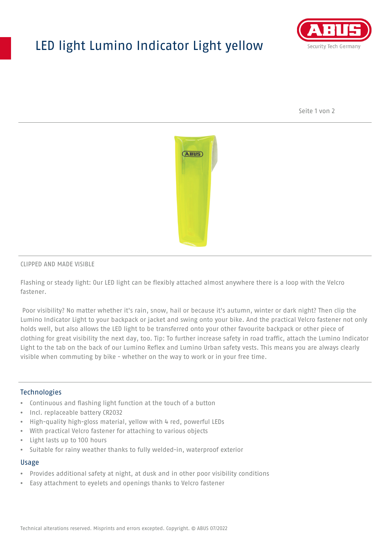# LED light Lumino Indicator Light yellow



Seite 1 von 2



#### CLIPPED AND MADE VISIBLE

Flashing or steady light: Our LED light can be flexibly attached almost anywhere there is a loop with the Velcro fastener.

 Poor visibility? No matter whether it's rain, snow, hail or because it's autumn, winter or dark night? Then clip the Lumino Indicator Light to your backpack or jacket and swing onto your bike. And the practical Velcro fastener not only holds well, but also allows the LED light to be transferred onto your other favourite backpack or other piece of clothing for great visibility the next day, too. Tip: To further increase safety in road traffic, attach the Lumino Indicator Light to the tab on the back of our Lumino Reflex and Lumino Urban safety vests. This means you are always clearly visible when commuting by bike - whether on the way to work or in your free time.

### **Technologies**

- Continuous and flashing light function at the touch of a button
- Incl. replaceable battery CR2032
- High-quality high-gloss material, yellow with 4 red, powerful LEDs
- With practical Velcro fastener for attaching to various objects
- Light lasts up to 100 hours
- Suitable for rainy weather thanks to fully welded-in, waterproof exterior

#### Usage

- Provides additional safety at night, at dusk and in other poor visibility conditions
- Easy attachment to eyelets and openings thanks to Velcro fastener